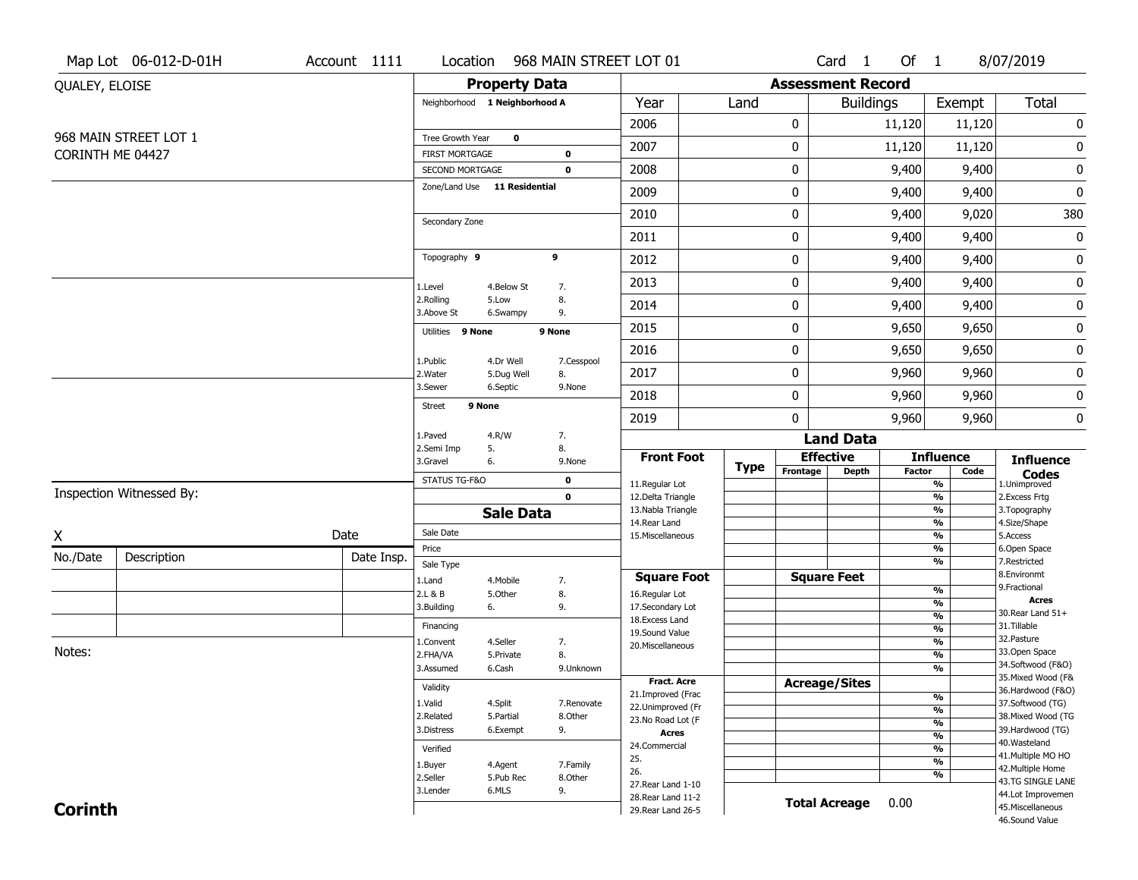|                  | Map Lot 06-012-D-01H     | Account 1111            | Location                                 |                        | 968 MAIN STREET LOT 01     |                                          |              |                              | Card 1               | Of $1$                            |                                   | 8/07/2019                              |  |
|------------------|--------------------------|-------------------------|------------------------------------------|------------------------|----------------------------|------------------------------------------|--------------|------------------------------|----------------------|-----------------------------------|-----------------------------------|----------------------------------------|--|
| QUALEY, ELOISE   |                          |                         |                                          | <b>Property Data</b>   |                            |                                          |              | <b>Assessment Record</b>     |                      |                                   |                                   |                                        |  |
|                  |                          |                         | Neighborhood 1 Neighborhood A            |                        |                            | Year                                     | Land         |                              | <b>Buildings</b>     |                                   | Exempt                            | Total                                  |  |
|                  |                          |                         |                                          |                        |                            | 2006                                     |              | 0                            |                      | 11,120                            | 11,120                            | $\pmb{0}$                              |  |
|                  | 968 MAIN STREET LOT 1    |                         | Tree Growth Year                         | $\mathbf 0$            |                            | 2007                                     |              | 0                            |                      | 11,120                            | 11,120                            | $\bf{0}$                               |  |
| CORINTH ME 04427 |                          |                         | <b>FIRST MORTGAGE</b><br>SECOND MORTGAGE |                        | $\mathbf 0$<br>$\mathbf 0$ | 2008                                     |              | 0                            |                      | 9,400                             | 9,400                             | $\pmb{0}$                              |  |
|                  |                          |                         | Zone/Land Use 11 Residential             |                        |                            | 2009                                     |              | 0                            |                      | 9,400                             | 9,400                             | $\pmb{0}$                              |  |
|                  |                          |                         |                                          |                        |                            | 2010                                     |              | 0                            |                      | 9,400                             | 9,020                             | 380                                    |  |
|                  |                          |                         | Secondary Zone                           |                        |                            | 2011                                     |              | 0                            |                      | 9,400                             | 9,400                             | $\pmb{0}$                              |  |
|                  |                          |                         | Topography 9                             |                        | 9                          | 2012                                     |              | 0                            |                      | 9,400                             | 9,400                             | $\pmb{0}$                              |  |
|                  |                          |                         |                                          |                        |                            |                                          |              |                              |                      |                                   |                                   |                                        |  |
|                  |                          |                         | 1.Level<br>2.Rolling                     | 4.Below St<br>5.Low    | 7.<br>8.                   | 2013                                     |              | 0                            |                      | 9,400                             | 9,400                             | $\pmb{0}$                              |  |
|                  |                          |                         | 3.Above St                               | 6.Swampy               | 9.                         | 2014                                     |              | 0                            |                      | 9,400                             | 9,400                             | $\pmb{0}$                              |  |
|                  |                          |                         | Utilities 9 None                         |                        | 9 None                     | 2015                                     |              | 0                            |                      | 9,650                             | 9,650                             | $\pmb{0}$                              |  |
|                  |                          |                         | 1.Public                                 | 4.Dr Well              | 7.Cesspool                 | 2016                                     |              | 0                            |                      | 9,650                             | 9,650                             | $\pmb{0}$                              |  |
|                  |                          |                         | 2.Water<br>3.Sewer                       | 5.Dug Well<br>6.Septic | 8.<br>9.None               | 2017                                     |              | 0                            |                      | 9,960                             | 9,960                             | $\pmb{0}$                              |  |
|                  |                          | 9 None<br><b>Street</b> |                                          |                        | 2018                       |                                          | 0            |                              | 9,960                | 9,960                             | $\pmb{0}$                         |                                        |  |
|                  |                          |                         |                                          |                        | 2019                       |                                          | $\mathbf{0}$ |                              | 9,960                | 9,960                             | 0                                 |                                        |  |
|                  |                          |                         | 1.Paved<br>2.Semi Imp<br>5.              | 4.R/W                  | 7.<br>8.                   |                                          |              |                              | <b>Land Data</b>     |                                   |                                   |                                        |  |
|                  |                          |                         | 3.Gravel<br>6.                           |                        | 9.None                     | <b>Front Foot</b>                        | <b>Type</b>  | <b>Effective</b><br>Frontage | <b>Depth</b>         | <b>Influence</b><br><b>Factor</b> | <b>Influence</b><br><b>Codes</b>  |                                        |  |
|                  | Inspection Witnessed By: |                         | STATUS TG-F&O                            |                        | $\mathbf 0$                | 11.Regular Lot                           |              |                              |                      |                                   | Code<br>$\frac{9}{6}$             | 1.Unimproved                           |  |
|                  |                          |                         | $\mathbf 0$<br><b>Sale Data</b>          |                        |                            | 12.Delta Triangle<br>13. Nabla Triangle  |              |                              |                      |                                   | $\frac{9}{6}$<br>$\frac{9}{6}$    | 2. Excess Frtg<br>3. Topography        |  |
|                  |                          |                         |                                          |                        |                            | 14. Rear Land                            |              |                              |                      |                                   | $\frac{9}{6}$                     | 4.Size/Shape                           |  |
| X                |                          | Date                    | Sale Date<br>Price                       |                        |                            | 15. Miscellaneous                        |              |                              |                      |                                   | $\frac{9}{6}$<br>%                | 5.Access<br>6.Open Space               |  |
| No./Date         | Description              | Date Insp.              | Sale Type                                |                        |                            |                                          |              |                              |                      |                                   | $\overline{\frac{9}{6}}$          | 7.Restricted                           |  |
|                  |                          |                         | 1.Land                                   | 4. Mobile              | 7.                         | <b>Square Foot</b>                       |              |                              | <b>Square Feet</b>   |                                   |                                   | 8.Environmt                            |  |
|                  |                          |                         | 2.L & B                                  | 5.0ther                | 8.                         | 16.Regular Lot                           |              |                              |                      |                                   | $\frac{9}{6}$                     | 9. Fractional<br>Acres                 |  |
|                  |                          |                         | 3.Building<br>6.                         |                        | 9.                         | 17.Secondary Lot                         |              |                              |                      |                                   | $\frac{9}{6}$<br>$\frac{9}{6}$    | 30.Rear Land 51+                       |  |
|                  |                          |                         | Financing                                |                        |                            | 18.Excess Land<br>19.Sound Value         |              |                              |                      |                                   | %                                 | 31.Tillable                            |  |
|                  |                          |                         | 1.Convent                                | 4.Seller               | 7.                         | 20.Miscellaneous                         |              |                              |                      |                                   | $\frac{9}{6}$                     | 32. Pasture                            |  |
| Notes:           |                          |                         | 2.FHA/VA                                 | 5.Private              | 8.                         |                                          |              |                              |                      |                                   | %                                 | 33.Open Space<br>34.Softwood (F&O)     |  |
|                  |                          |                         | 3.Assumed                                | 6.Cash                 | 9.Unknown                  | Fract. Acre                              |              |                              |                      |                                   | $\frac{9}{6}$                     | 35. Mixed Wood (F&                     |  |
|                  |                          |                         | Validity                                 |                        |                            | 21.Improved (Frac                        |              | <b>Acreage/Sites</b>         |                      |                                   |                                   | 36.Hardwood (F&O)                      |  |
|                  |                          |                         | 1.Valid                                  | 4.Split                | 7.Renovate                 | 22.Unimproved (Fr                        |              |                              |                      |                                   | %<br>$\frac{9}{6}$                | 37.Softwood (TG)                       |  |
|                  |                          | 2.Related               | 5.Partial                                | 8.Other                | 23.No Road Lot (F          |                                          |              |                              |                      | $\overline{\frac{9}{6}}$          | 38. Mixed Wood (TG                |                                        |  |
|                  |                          | 3.Distress              | 6.Exempt                                 | 9.                     | <b>Acres</b>               |                                          |              |                              |                      | $\overline{\frac{9}{6}}$          | 39.Hardwood (TG)<br>40. Wasteland |                                        |  |
|                  |                          |                         | Verified                                 |                        |                            | 24.Commercial                            |              |                              |                      |                                   | $\overline{\frac{9}{6}}$          | 41. Multiple MO HO                     |  |
|                  |                          |                         |                                          |                        |                            |                                          |              |                              |                      |                                   |                                   |                                        |  |
|                  |                          |                         | 1.Buyer                                  | 4.Agent                | 7.Family                   | 25.                                      |              |                              |                      |                                   | $\overline{\frac{9}{6}}$          | 42. Multiple Home                      |  |
|                  |                          |                         | 2.Seller                                 | 5.Pub Rec              | 8.Other                    | 26.                                      |              |                              |                      |                                   | $\frac{9}{6}$                     | 43.TG SINGLE LANE                      |  |
| <b>Corinth</b>   |                          |                         | 3.Lender                                 | 6.MLS                  | 9.                         | 27. Rear Land 1-10<br>28. Rear Land 11-2 |              |                              | <b>Total Acreage</b> | 0.00                              |                                   | 44.Lot Improvemen<br>45. Miscellaneous |  |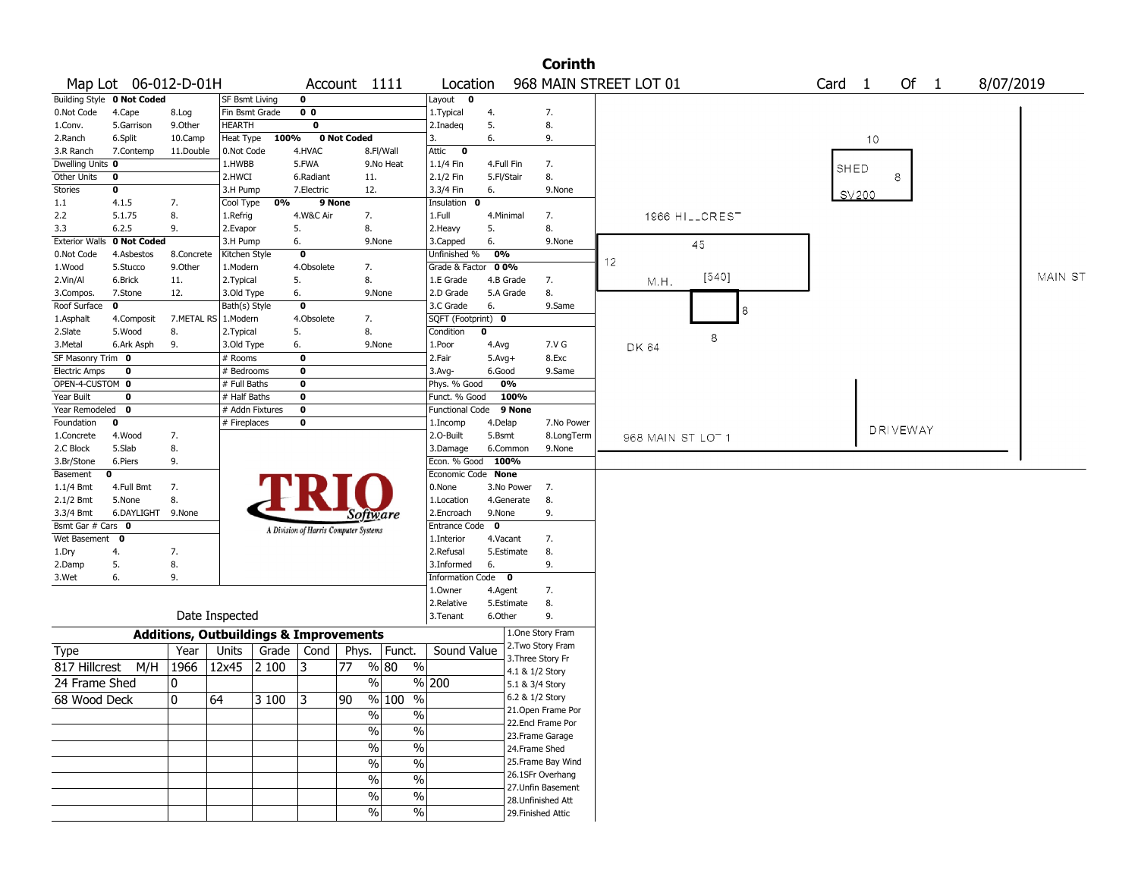| 968 MAIN STREET LOT 01<br>Map Lot 06-012-D-01H<br>Of 1<br>8/07/2019<br>Account 1111<br>Card <sub>1</sub><br>Location<br><b>Building Style 0 Not Coded</b><br>SF Bsmt Living<br>0<br>Layout 0<br>Fin Bsmt Grade<br>0 <sub>0</sub><br>7.<br>4.Cape<br>1. Typical<br>4.<br>8.Log<br>$\overline{\mathbf{0}}$<br>9.0ther<br>HEARTH<br>5.<br>8.<br>5.Garrison<br>2.Inadeg<br>100%<br>0 Not Coded<br>6.<br>9.<br>6.Split<br>10.Camp<br>Heat Type<br>3.<br>10<br>11.Double<br>0.Not Code<br>4.HVAC<br>8.Fl/Wall<br>Attic<br>$\mathbf 0$<br>7.Contemp<br>Dwelling Units 0<br>1.HWBB<br>5.FWA<br>9.No Heat<br>7.<br>1.1/4 Fin<br>4.Full Fin<br>SHED<br>8.<br>8<br>2.HWCI<br>2.1/2 Fin<br>5.Fl/Stair<br>0<br>6.Radiant<br>11.<br>7.Electric<br>12.<br>3.3/4 Fin<br>9.None<br>0<br>3.H Pump<br>6.<br>SV200<br>0%<br>9 None<br>4.1.5<br>7.<br>Cool Type<br>Insulation 0<br>5.1.75<br>4.W&C Air<br>1966 HILLCREST<br>8.<br>1.Refrig<br>7.<br>1.Full<br>4.Minimal<br>7.<br>8.<br>5.<br>8.<br>5.<br>6.2.5<br>9.<br>2.Evapor<br>2.Heavy<br><b>Exterior Walls</b><br>0 Not Coded<br>6.<br>9.None<br>6.<br>9.None<br>3.H Pump<br>3.Capped<br>45<br>4.Asbestos<br>0<br>Unfinished %<br>0%<br>8.Concrete<br>Kitchen Style<br>12<br>4.Obsolete<br>7.<br>Grade & Factor 00%<br>5.Stucco<br>9.0ther<br>1.Modern<br>MAIN ST<br>[540]<br>5.<br>8.<br>M.H.<br>6.Brick<br>11.<br>2. Typical<br>1.E Grade<br>4.B Grade<br>7.<br>6.<br>2.D Grade<br>8.<br>7.Stone<br>12.<br>3.Old Type<br>9.None<br>5.A Grade<br>Bath(s) Style<br>0<br>3.C Grade<br>6.<br>9.Same<br>0<br>8<br>7.METAL RS 1.Modern<br>4.Obsolete<br>7.<br>SQFT (Footprint) 0<br>4.Composit<br>8.<br>5.Wood<br>5.<br>Condition<br>$\mathbf 0$<br>8.<br>2. Typical<br>8<br>6.<br>9.None<br>7.V G<br>6.Ark Asph<br>9.<br>3.Old Type<br>1.Poor<br>4.Avg<br>DK 64<br>SF Masonry Trim 0<br>0<br>2.Fair<br>8.Exc<br># Rooms<br>$5.Avg+$<br>$\bf o$<br>0<br># Bedrooms<br>$3.$ Avg-<br>6.Good<br>9.Same<br>OPEN-4-CUSTOM 0<br># Full Baths<br>0<br>Phys. % Good<br>0%<br># Half Baths<br>0<br>100%<br>0<br>Funct. % Good<br>Year Remodeled<br>$\mathbf{0}$<br># Addn Fixtures<br>$\mathbf 0$<br><b>Functional Code</b><br>9 None<br># Fireplaces<br>0<br>0<br>1.Incomp<br>4.Delap<br>7.No Power<br><b>DRIVEWAY</b><br>2.0-Built<br>5.Bsmt<br>8.LongTerm<br>4.Wood<br>7.<br>968 MAIN ST LOT 1<br>5.Slab<br>8.<br>3.Damage<br>6.Common<br>9.None<br>Econ. % Good<br>100%<br>6.Piers<br>9.<br>Economic Code None<br>$\mathbf 0$<br>7.<br>0.None<br>4.Full Bmt<br>3.No Power<br>7.<br>8.<br>5.None<br>8.<br>1.Location<br>4.Generate<br>6.DAYLIGHT 9.None<br>9.None<br>9.<br>2.Encroach<br>Software<br>Bsmt Gar # Cars 0<br>Entrance Code 0<br>A Division of Harris Computer Systems<br>Wet Basement<br>$\mathbf 0$<br>1.Interior<br>4.Vacant<br>7.<br>2.Refusal<br>8.<br>4.<br>7.<br>5.Estimate<br>5.<br>6.<br>9.<br>8.<br>3.Informed<br>6.<br>Information Code 0<br>9.<br>7.<br>1.Owner<br>4.Agent<br>8.<br>2.Relative<br>5.Estimate<br>Date Inspected<br>6.Other<br>9.<br>3.Tenant<br>1.One Story Fram<br><b>Additions, Outbuildings &amp; Improvements</b><br>2. Two Story Fram<br>Year<br>Grade<br>Cond<br>Funct.<br>Sound Value<br>Type<br>Units<br>Phys.<br>3. Three Story Fr<br>M/H<br>1966<br>% 80<br>$\%$<br>817 Hillcrest<br>12x45<br>2 100<br>3<br>77<br>4.1 & 1/2 Story<br>$\%$<br>0<br>% 200<br>24 Frame Shed<br>5.1 & 3/4 Story<br>68 Wood Deck<br>10<br>64<br>$3100$ 3<br>90<br>% 100<br>%<br>6.2 & 1/2 Story<br>21.Open Frame Por<br>$\frac{9}{6}$<br>$\sqrt{6}$<br>22.Encl Frame Por<br>$\frac{1}{2}$<br>$\overline{\frac{0}{0}}$<br>23. Frame Garage<br>$\frac{1}{2}$<br>$\sqrt{96}$<br>24.Frame Shed<br>25. Frame Bay Wind<br>$\frac{1}{2}$<br>$\overline{\frac{0}{0}}$<br>26.1SFr Overhang<br>$\sqrt{6}$<br>$\overline{\frac{0}{0}}$<br>27.Unfin Basement |                      |  |  |  |  |  |  |  |  |  | <b>Corinth</b> |  |  |  |  |  |  |
|-----------------------------------------------------------------------------------------------------------------------------------------------------------------------------------------------------------------------------------------------------------------------------------------------------------------------------------------------------------------------------------------------------------------------------------------------------------------------------------------------------------------------------------------------------------------------------------------------------------------------------------------------------------------------------------------------------------------------------------------------------------------------------------------------------------------------------------------------------------------------------------------------------------------------------------------------------------------------------------------------------------------------------------------------------------------------------------------------------------------------------------------------------------------------------------------------------------------------------------------------------------------------------------------------------------------------------------------------------------------------------------------------------------------------------------------------------------------------------------------------------------------------------------------------------------------------------------------------------------------------------------------------------------------------------------------------------------------------------------------------------------------------------------------------------------------------------------------------------------------------------------------------------------------------------------------------------------------------------------------------------------------------------------------------------------------------------------------------------------------------------------------------------------------------------------------------------------------------------------------------------------------------------------------------------------------------------------------------------------------------------------------------------------------------------------------------------------------------------------------------------------------------------------------------------------------------------------------------------------------------------------------------------------------------------------------------------------------------------------------------------------------------------------------------------------------------------------------------------------------------------------------------------------------------------------------------------------------------------------------------------------------------------------------------------------------------------------------------------------------------------------------------------------------------------------------------------------------------------------------------------------------------------------------------------------------------------------------------------------------------------------------------------------------------------------------------------------------------------------------------------------------------------------------------------------------------------------------------------------------------------------------------------------------------------------------------------------------------------------------------------------------------------------------------------|----------------------|--|--|--|--|--|--|--|--|--|----------------|--|--|--|--|--|--|
|                                                                                                                                                                                                                                                                                                                                                                                                                                                                                                                                                                                                                                                                                                                                                                                                                                                                                                                                                                                                                                                                                                                                                                                                                                                                                                                                                                                                                                                                                                                                                                                                                                                                                                                                                                                                                                                                                                                                                                                                                                                                                                                                                                                                                                                                                                                                                                                                                                                                                                                                                                                                                                                                                                                                                                                                                                                                                                                                                                                                                                                                                                                                                                                                                                                                                                                                                                                                                                                                                                                                                                                                                                                                                                                                                                                                     |                      |  |  |  |  |  |  |  |  |  |                |  |  |  |  |  |  |
|                                                                                                                                                                                                                                                                                                                                                                                                                                                                                                                                                                                                                                                                                                                                                                                                                                                                                                                                                                                                                                                                                                                                                                                                                                                                                                                                                                                                                                                                                                                                                                                                                                                                                                                                                                                                                                                                                                                                                                                                                                                                                                                                                                                                                                                                                                                                                                                                                                                                                                                                                                                                                                                                                                                                                                                                                                                                                                                                                                                                                                                                                                                                                                                                                                                                                                                                                                                                                                                                                                                                                                                                                                                                                                                                                                                                     |                      |  |  |  |  |  |  |  |  |  |                |  |  |  |  |  |  |
|                                                                                                                                                                                                                                                                                                                                                                                                                                                                                                                                                                                                                                                                                                                                                                                                                                                                                                                                                                                                                                                                                                                                                                                                                                                                                                                                                                                                                                                                                                                                                                                                                                                                                                                                                                                                                                                                                                                                                                                                                                                                                                                                                                                                                                                                                                                                                                                                                                                                                                                                                                                                                                                                                                                                                                                                                                                                                                                                                                                                                                                                                                                                                                                                                                                                                                                                                                                                                                                                                                                                                                                                                                                                                                                                                                                                     | 0.Not Code           |  |  |  |  |  |  |  |  |  |                |  |  |  |  |  |  |
|                                                                                                                                                                                                                                                                                                                                                                                                                                                                                                                                                                                                                                                                                                                                                                                                                                                                                                                                                                                                                                                                                                                                                                                                                                                                                                                                                                                                                                                                                                                                                                                                                                                                                                                                                                                                                                                                                                                                                                                                                                                                                                                                                                                                                                                                                                                                                                                                                                                                                                                                                                                                                                                                                                                                                                                                                                                                                                                                                                                                                                                                                                                                                                                                                                                                                                                                                                                                                                                                                                                                                                                                                                                                                                                                                                                                     | 1.Conv.              |  |  |  |  |  |  |  |  |  |                |  |  |  |  |  |  |
|                                                                                                                                                                                                                                                                                                                                                                                                                                                                                                                                                                                                                                                                                                                                                                                                                                                                                                                                                                                                                                                                                                                                                                                                                                                                                                                                                                                                                                                                                                                                                                                                                                                                                                                                                                                                                                                                                                                                                                                                                                                                                                                                                                                                                                                                                                                                                                                                                                                                                                                                                                                                                                                                                                                                                                                                                                                                                                                                                                                                                                                                                                                                                                                                                                                                                                                                                                                                                                                                                                                                                                                                                                                                                                                                                                                                     | 2.Ranch              |  |  |  |  |  |  |  |  |  |                |  |  |  |  |  |  |
|                                                                                                                                                                                                                                                                                                                                                                                                                                                                                                                                                                                                                                                                                                                                                                                                                                                                                                                                                                                                                                                                                                                                                                                                                                                                                                                                                                                                                                                                                                                                                                                                                                                                                                                                                                                                                                                                                                                                                                                                                                                                                                                                                                                                                                                                                                                                                                                                                                                                                                                                                                                                                                                                                                                                                                                                                                                                                                                                                                                                                                                                                                                                                                                                                                                                                                                                                                                                                                                                                                                                                                                                                                                                                                                                                                                                     | 3.R Ranch            |  |  |  |  |  |  |  |  |  |                |  |  |  |  |  |  |
|                                                                                                                                                                                                                                                                                                                                                                                                                                                                                                                                                                                                                                                                                                                                                                                                                                                                                                                                                                                                                                                                                                                                                                                                                                                                                                                                                                                                                                                                                                                                                                                                                                                                                                                                                                                                                                                                                                                                                                                                                                                                                                                                                                                                                                                                                                                                                                                                                                                                                                                                                                                                                                                                                                                                                                                                                                                                                                                                                                                                                                                                                                                                                                                                                                                                                                                                                                                                                                                                                                                                                                                                                                                                                                                                                                                                     |                      |  |  |  |  |  |  |  |  |  |                |  |  |  |  |  |  |
|                                                                                                                                                                                                                                                                                                                                                                                                                                                                                                                                                                                                                                                                                                                                                                                                                                                                                                                                                                                                                                                                                                                                                                                                                                                                                                                                                                                                                                                                                                                                                                                                                                                                                                                                                                                                                                                                                                                                                                                                                                                                                                                                                                                                                                                                                                                                                                                                                                                                                                                                                                                                                                                                                                                                                                                                                                                                                                                                                                                                                                                                                                                                                                                                                                                                                                                                                                                                                                                                                                                                                                                                                                                                                                                                                                                                     | Other Units          |  |  |  |  |  |  |  |  |  |                |  |  |  |  |  |  |
|                                                                                                                                                                                                                                                                                                                                                                                                                                                                                                                                                                                                                                                                                                                                                                                                                                                                                                                                                                                                                                                                                                                                                                                                                                                                                                                                                                                                                                                                                                                                                                                                                                                                                                                                                                                                                                                                                                                                                                                                                                                                                                                                                                                                                                                                                                                                                                                                                                                                                                                                                                                                                                                                                                                                                                                                                                                                                                                                                                                                                                                                                                                                                                                                                                                                                                                                                                                                                                                                                                                                                                                                                                                                                                                                                                                                     | Stories              |  |  |  |  |  |  |  |  |  |                |  |  |  |  |  |  |
|                                                                                                                                                                                                                                                                                                                                                                                                                                                                                                                                                                                                                                                                                                                                                                                                                                                                                                                                                                                                                                                                                                                                                                                                                                                                                                                                                                                                                                                                                                                                                                                                                                                                                                                                                                                                                                                                                                                                                                                                                                                                                                                                                                                                                                                                                                                                                                                                                                                                                                                                                                                                                                                                                                                                                                                                                                                                                                                                                                                                                                                                                                                                                                                                                                                                                                                                                                                                                                                                                                                                                                                                                                                                                                                                                                                                     | 1.1                  |  |  |  |  |  |  |  |  |  |                |  |  |  |  |  |  |
|                                                                                                                                                                                                                                                                                                                                                                                                                                                                                                                                                                                                                                                                                                                                                                                                                                                                                                                                                                                                                                                                                                                                                                                                                                                                                                                                                                                                                                                                                                                                                                                                                                                                                                                                                                                                                                                                                                                                                                                                                                                                                                                                                                                                                                                                                                                                                                                                                                                                                                                                                                                                                                                                                                                                                                                                                                                                                                                                                                                                                                                                                                                                                                                                                                                                                                                                                                                                                                                                                                                                                                                                                                                                                                                                                                                                     | 2.2                  |  |  |  |  |  |  |  |  |  |                |  |  |  |  |  |  |
|                                                                                                                                                                                                                                                                                                                                                                                                                                                                                                                                                                                                                                                                                                                                                                                                                                                                                                                                                                                                                                                                                                                                                                                                                                                                                                                                                                                                                                                                                                                                                                                                                                                                                                                                                                                                                                                                                                                                                                                                                                                                                                                                                                                                                                                                                                                                                                                                                                                                                                                                                                                                                                                                                                                                                                                                                                                                                                                                                                                                                                                                                                                                                                                                                                                                                                                                                                                                                                                                                                                                                                                                                                                                                                                                                                                                     | 3.3                  |  |  |  |  |  |  |  |  |  |                |  |  |  |  |  |  |
|                                                                                                                                                                                                                                                                                                                                                                                                                                                                                                                                                                                                                                                                                                                                                                                                                                                                                                                                                                                                                                                                                                                                                                                                                                                                                                                                                                                                                                                                                                                                                                                                                                                                                                                                                                                                                                                                                                                                                                                                                                                                                                                                                                                                                                                                                                                                                                                                                                                                                                                                                                                                                                                                                                                                                                                                                                                                                                                                                                                                                                                                                                                                                                                                                                                                                                                                                                                                                                                                                                                                                                                                                                                                                                                                                                                                     |                      |  |  |  |  |  |  |  |  |  |                |  |  |  |  |  |  |
|                                                                                                                                                                                                                                                                                                                                                                                                                                                                                                                                                                                                                                                                                                                                                                                                                                                                                                                                                                                                                                                                                                                                                                                                                                                                                                                                                                                                                                                                                                                                                                                                                                                                                                                                                                                                                                                                                                                                                                                                                                                                                                                                                                                                                                                                                                                                                                                                                                                                                                                                                                                                                                                                                                                                                                                                                                                                                                                                                                                                                                                                                                                                                                                                                                                                                                                                                                                                                                                                                                                                                                                                                                                                                                                                                                                                     | 0.Not Code           |  |  |  |  |  |  |  |  |  |                |  |  |  |  |  |  |
|                                                                                                                                                                                                                                                                                                                                                                                                                                                                                                                                                                                                                                                                                                                                                                                                                                                                                                                                                                                                                                                                                                                                                                                                                                                                                                                                                                                                                                                                                                                                                                                                                                                                                                                                                                                                                                                                                                                                                                                                                                                                                                                                                                                                                                                                                                                                                                                                                                                                                                                                                                                                                                                                                                                                                                                                                                                                                                                                                                                                                                                                                                                                                                                                                                                                                                                                                                                                                                                                                                                                                                                                                                                                                                                                                                                                     | 1.Wood               |  |  |  |  |  |  |  |  |  |                |  |  |  |  |  |  |
|                                                                                                                                                                                                                                                                                                                                                                                                                                                                                                                                                                                                                                                                                                                                                                                                                                                                                                                                                                                                                                                                                                                                                                                                                                                                                                                                                                                                                                                                                                                                                                                                                                                                                                                                                                                                                                                                                                                                                                                                                                                                                                                                                                                                                                                                                                                                                                                                                                                                                                                                                                                                                                                                                                                                                                                                                                                                                                                                                                                                                                                                                                                                                                                                                                                                                                                                                                                                                                                                                                                                                                                                                                                                                                                                                                                                     | 2.Vin/Al             |  |  |  |  |  |  |  |  |  |                |  |  |  |  |  |  |
|                                                                                                                                                                                                                                                                                                                                                                                                                                                                                                                                                                                                                                                                                                                                                                                                                                                                                                                                                                                                                                                                                                                                                                                                                                                                                                                                                                                                                                                                                                                                                                                                                                                                                                                                                                                                                                                                                                                                                                                                                                                                                                                                                                                                                                                                                                                                                                                                                                                                                                                                                                                                                                                                                                                                                                                                                                                                                                                                                                                                                                                                                                                                                                                                                                                                                                                                                                                                                                                                                                                                                                                                                                                                                                                                                                                                     | 3.Compos.            |  |  |  |  |  |  |  |  |  |                |  |  |  |  |  |  |
|                                                                                                                                                                                                                                                                                                                                                                                                                                                                                                                                                                                                                                                                                                                                                                                                                                                                                                                                                                                                                                                                                                                                                                                                                                                                                                                                                                                                                                                                                                                                                                                                                                                                                                                                                                                                                                                                                                                                                                                                                                                                                                                                                                                                                                                                                                                                                                                                                                                                                                                                                                                                                                                                                                                                                                                                                                                                                                                                                                                                                                                                                                                                                                                                                                                                                                                                                                                                                                                                                                                                                                                                                                                                                                                                                                                                     | Roof Surface         |  |  |  |  |  |  |  |  |  |                |  |  |  |  |  |  |
|                                                                                                                                                                                                                                                                                                                                                                                                                                                                                                                                                                                                                                                                                                                                                                                                                                                                                                                                                                                                                                                                                                                                                                                                                                                                                                                                                                                                                                                                                                                                                                                                                                                                                                                                                                                                                                                                                                                                                                                                                                                                                                                                                                                                                                                                                                                                                                                                                                                                                                                                                                                                                                                                                                                                                                                                                                                                                                                                                                                                                                                                                                                                                                                                                                                                                                                                                                                                                                                                                                                                                                                                                                                                                                                                                                                                     | 1.Asphalt            |  |  |  |  |  |  |  |  |  |                |  |  |  |  |  |  |
|                                                                                                                                                                                                                                                                                                                                                                                                                                                                                                                                                                                                                                                                                                                                                                                                                                                                                                                                                                                                                                                                                                                                                                                                                                                                                                                                                                                                                                                                                                                                                                                                                                                                                                                                                                                                                                                                                                                                                                                                                                                                                                                                                                                                                                                                                                                                                                                                                                                                                                                                                                                                                                                                                                                                                                                                                                                                                                                                                                                                                                                                                                                                                                                                                                                                                                                                                                                                                                                                                                                                                                                                                                                                                                                                                                                                     | 2.Slate              |  |  |  |  |  |  |  |  |  |                |  |  |  |  |  |  |
|                                                                                                                                                                                                                                                                                                                                                                                                                                                                                                                                                                                                                                                                                                                                                                                                                                                                                                                                                                                                                                                                                                                                                                                                                                                                                                                                                                                                                                                                                                                                                                                                                                                                                                                                                                                                                                                                                                                                                                                                                                                                                                                                                                                                                                                                                                                                                                                                                                                                                                                                                                                                                                                                                                                                                                                                                                                                                                                                                                                                                                                                                                                                                                                                                                                                                                                                                                                                                                                                                                                                                                                                                                                                                                                                                                                                     | 3. Metal             |  |  |  |  |  |  |  |  |  |                |  |  |  |  |  |  |
|                                                                                                                                                                                                                                                                                                                                                                                                                                                                                                                                                                                                                                                                                                                                                                                                                                                                                                                                                                                                                                                                                                                                                                                                                                                                                                                                                                                                                                                                                                                                                                                                                                                                                                                                                                                                                                                                                                                                                                                                                                                                                                                                                                                                                                                                                                                                                                                                                                                                                                                                                                                                                                                                                                                                                                                                                                                                                                                                                                                                                                                                                                                                                                                                                                                                                                                                                                                                                                                                                                                                                                                                                                                                                                                                                                                                     |                      |  |  |  |  |  |  |  |  |  |                |  |  |  |  |  |  |
|                                                                                                                                                                                                                                                                                                                                                                                                                                                                                                                                                                                                                                                                                                                                                                                                                                                                                                                                                                                                                                                                                                                                                                                                                                                                                                                                                                                                                                                                                                                                                                                                                                                                                                                                                                                                                                                                                                                                                                                                                                                                                                                                                                                                                                                                                                                                                                                                                                                                                                                                                                                                                                                                                                                                                                                                                                                                                                                                                                                                                                                                                                                                                                                                                                                                                                                                                                                                                                                                                                                                                                                                                                                                                                                                                                                                     | <b>Electric Amps</b> |  |  |  |  |  |  |  |  |  |                |  |  |  |  |  |  |
|                                                                                                                                                                                                                                                                                                                                                                                                                                                                                                                                                                                                                                                                                                                                                                                                                                                                                                                                                                                                                                                                                                                                                                                                                                                                                                                                                                                                                                                                                                                                                                                                                                                                                                                                                                                                                                                                                                                                                                                                                                                                                                                                                                                                                                                                                                                                                                                                                                                                                                                                                                                                                                                                                                                                                                                                                                                                                                                                                                                                                                                                                                                                                                                                                                                                                                                                                                                                                                                                                                                                                                                                                                                                                                                                                                                                     |                      |  |  |  |  |  |  |  |  |  |                |  |  |  |  |  |  |
|                                                                                                                                                                                                                                                                                                                                                                                                                                                                                                                                                                                                                                                                                                                                                                                                                                                                                                                                                                                                                                                                                                                                                                                                                                                                                                                                                                                                                                                                                                                                                                                                                                                                                                                                                                                                                                                                                                                                                                                                                                                                                                                                                                                                                                                                                                                                                                                                                                                                                                                                                                                                                                                                                                                                                                                                                                                                                                                                                                                                                                                                                                                                                                                                                                                                                                                                                                                                                                                                                                                                                                                                                                                                                                                                                                                                     | Year Built           |  |  |  |  |  |  |  |  |  |                |  |  |  |  |  |  |
|                                                                                                                                                                                                                                                                                                                                                                                                                                                                                                                                                                                                                                                                                                                                                                                                                                                                                                                                                                                                                                                                                                                                                                                                                                                                                                                                                                                                                                                                                                                                                                                                                                                                                                                                                                                                                                                                                                                                                                                                                                                                                                                                                                                                                                                                                                                                                                                                                                                                                                                                                                                                                                                                                                                                                                                                                                                                                                                                                                                                                                                                                                                                                                                                                                                                                                                                                                                                                                                                                                                                                                                                                                                                                                                                                                                                     |                      |  |  |  |  |  |  |  |  |  |                |  |  |  |  |  |  |
|                                                                                                                                                                                                                                                                                                                                                                                                                                                                                                                                                                                                                                                                                                                                                                                                                                                                                                                                                                                                                                                                                                                                                                                                                                                                                                                                                                                                                                                                                                                                                                                                                                                                                                                                                                                                                                                                                                                                                                                                                                                                                                                                                                                                                                                                                                                                                                                                                                                                                                                                                                                                                                                                                                                                                                                                                                                                                                                                                                                                                                                                                                                                                                                                                                                                                                                                                                                                                                                                                                                                                                                                                                                                                                                                                                                                     | Foundation           |  |  |  |  |  |  |  |  |  |                |  |  |  |  |  |  |
|                                                                                                                                                                                                                                                                                                                                                                                                                                                                                                                                                                                                                                                                                                                                                                                                                                                                                                                                                                                                                                                                                                                                                                                                                                                                                                                                                                                                                                                                                                                                                                                                                                                                                                                                                                                                                                                                                                                                                                                                                                                                                                                                                                                                                                                                                                                                                                                                                                                                                                                                                                                                                                                                                                                                                                                                                                                                                                                                                                                                                                                                                                                                                                                                                                                                                                                                                                                                                                                                                                                                                                                                                                                                                                                                                                                                     | 1.Concrete           |  |  |  |  |  |  |  |  |  |                |  |  |  |  |  |  |
|                                                                                                                                                                                                                                                                                                                                                                                                                                                                                                                                                                                                                                                                                                                                                                                                                                                                                                                                                                                                                                                                                                                                                                                                                                                                                                                                                                                                                                                                                                                                                                                                                                                                                                                                                                                                                                                                                                                                                                                                                                                                                                                                                                                                                                                                                                                                                                                                                                                                                                                                                                                                                                                                                                                                                                                                                                                                                                                                                                                                                                                                                                                                                                                                                                                                                                                                                                                                                                                                                                                                                                                                                                                                                                                                                                                                     | 2.C Block            |  |  |  |  |  |  |  |  |  |                |  |  |  |  |  |  |
|                                                                                                                                                                                                                                                                                                                                                                                                                                                                                                                                                                                                                                                                                                                                                                                                                                                                                                                                                                                                                                                                                                                                                                                                                                                                                                                                                                                                                                                                                                                                                                                                                                                                                                                                                                                                                                                                                                                                                                                                                                                                                                                                                                                                                                                                                                                                                                                                                                                                                                                                                                                                                                                                                                                                                                                                                                                                                                                                                                                                                                                                                                                                                                                                                                                                                                                                                                                                                                                                                                                                                                                                                                                                                                                                                                                                     | 3.Br/Stone           |  |  |  |  |  |  |  |  |  |                |  |  |  |  |  |  |
|                                                                                                                                                                                                                                                                                                                                                                                                                                                                                                                                                                                                                                                                                                                                                                                                                                                                                                                                                                                                                                                                                                                                                                                                                                                                                                                                                                                                                                                                                                                                                                                                                                                                                                                                                                                                                                                                                                                                                                                                                                                                                                                                                                                                                                                                                                                                                                                                                                                                                                                                                                                                                                                                                                                                                                                                                                                                                                                                                                                                                                                                                                                                                                                                                                                                                                                                                                                                                                                                                                                                                                                                                                                                                                                                                                                                     | Basement             |  |  |  |  |  |  |  |  |  |                |  |  |  |  |  |  |
|                                                                                                                                                                                                                                                                                                                                                                                                                                                                                                                                                                                                                                                                                                                                                                                                                                                                                                                                                                                                                                                                                                                                                                                                                                                                                                                                                                                                                                                                                                                                                                                                                                                                                                                                                                                                                                                                                                                                                                                                                                                                                                                                                                                                                                                                                                                                                                                                                                                                                                                                                                                                                                                                                                                                                                                                                                                                                                                                                                                                                                                                                                                                                                                                                                                                                                                                                                                                                                                                                                                                                                                                                                                                                                                                                                                                     | 1.1/4 Bmt            |  |  |  |  |  |  |  |  |  |                |  |  |  |  |  |  |
|                                                                                                                                                                                                                                                                                                                                                                                                                                                                                                                                                                                                                                                                                                                                                                                                                                                                                                                                                                                                                                                                                                                                                                                                                                                                                                                                                                                                                                                                                                                                                                                                                                                                                                                                                                                                                                                                                                                                                                                                                                                                                                                                                                                                                                                                                                                                                                                                                                                                                                                                                                                                                                                                                                                                                                                                                                                                                                                                                                                                                                                                                                                                                                                                                                                                                                                                                                                                                                                                                                                                                                                                                                                                                                                                                                                                     | $2.1/2$ Bmt          |  |  |  |  |  |  |  |  |  |                |  |  |  |  |  |  |
|                                                                                                                                                                                                                                                                                                                                                                                                                                                                                                                                                                                                                                                                                                                                                                                                                                                                                                                                                                                                                                                                                                                                                                                                                                                                                                                                                                                                                                                                                                                                                                                                                                                                                                                                                                                                                                                                                                                                                                                                                                                                                                                                                                                                                                                                                                                                                                                                                                                                                                                                                                                                                                                                                                                                                                                                                                                                                                                                                                                                                                                                                                                                                                                                                                                                                                                                                                                                                                                                                                                                                                                                                                                                                                                                                                                                     | 3.3/4 Bmt            |  |  |  |  |  |  |  |  |  |                |  |  |  |  |  |  |
|                                                                                                                                                                                                                                                                                                                                                                                                                                                                                                                                                                                                                                                                                                                                                                                                                                                                                                                                                                                                                                                                                                                                                                                                                                                                                                                                                                                                                                                                                                                                                                                                                                                                                                                                                                                                                                                                                                                                                                                                                                                                                                                                                                                                                                                                                                                                                                                                                                                                                                                                                                                                                                                                                                                                                                                                                                                                                                                                                                                                                                                                                                                                                                                                                                                                                                                                                                                                                                                                                                                                                                                                                                                                                                                                                                                                     |                      |  |  |  |  |  |  |  |  |  |                |  |  |  |  |  |  |
|                                                                                                                                                                                                                                                                                                                                                                                                                                                                                                                                                                                                                                                                                                                                                                                                                                                                                                                                                                                                                                                                                                                                                                                                                                                                                                                                                                                                                                                                                                                                                                                                                                                                                                                                                                                                                                                                                                                                                                                                                                                                                                                                                                                                                                                                                                                                                                                                                                                                                                                                                                                                                                                                                                                                                                                                                                                                                                                                                                                                                                                                                                                                                                                                                                                                                                                                                                                                                                                                                                                                                                                                                                                                                                                                                                                                     |                      |  |  |  |  |  |  |  |  |  |                |  |  |  |  |  |  |
|                                                                                                                                                                                                                                                                                                                                                                                                                                                                                                                                                                                                                                                                                                                                                                                                                                                                                                                                                                                                                                                                                                                                                                                                                                                                                                                                                                                                                                                                                                                                                                                                                                                                                                                                                                                                                                                                                                                                                                                                                                                                                                                                                                                                                                                                                                                                                                                                                                                                                                                                                                                                                                                                                                                                                                                                                                                                                                                                                                                                                                                                                                                                                                                                                                                                                                                                                                                                                                                                                                                                                                                                                                                                                                                                                                                                     | 1.Dry                |  |  |  |  |  |  |  |  |  |                |  |  |  |  |  |  |
|                                                                                                                                                                                                                                                                                                                                                                                                                                                                                                                                                                                                                                                                                                                                                                                                                                                                                                                                                                                                                                                                                                                                                                                                                                                                                                                                                                                                                                                                                                                                                                                                                                                                                                                                                                                                                                                                                                                                                                                                                                                                                                                                                                                                                                                                                                                                                                                                                                                                                                                                                                                                                                                                                                                                                                                                                                                                                                                                                                                                                                                                                                                                                                                                                                                                                                                                                                                                                                                                                                                                                                                                                                                                                                                                                                                                     | 2.Damp               |  |  |  |  |  |  |  |  |  |                |  |  |  |  |  |  |
|                                                                                                                                                                                                                                                                                                                                                                                                                                                                                                                                                                                                                                                                                                                                                                                                                                                                                                                                                                                                                                                                                                                                                                                                                                                                                                                                                                                                                                                                                                                                                                                                                                                                                                                                                                                                                                                                                                                                                                                                                                                                                                                                                                                                                                                                                                                                                                                                                                                                                                                                                                                                                                                                                                                                                                                                                                                                                                                                                                                                                                                                                                                                                                                                                                                                                                                                                                                                                                                                                                                                                                                                                                                                                                                                                                                                     | 3.Wet                |  |  |  |  |  |  |  |  |  |                |  |  |  |  |  |  |
|                                                                                                                                                                                                                                                                                                                                                                                                                                                                                                                                                                                                                                                                                                                                                                                                                                                                                                                                                                                                                                                                                                                                                                                                                                                                                                                                                                                                                                                                                                                                                                                                                                                                                                                                                                                                                                                                                                                                                                                                                                                                                                                                                                                                                                                                                                                                                                                                                                                                                                                                                                                                                                                                                                                                                                                                                                                                                                                                                                                                                                                                                                                                                                                                                                                                                                                                                                                                                                                                                                                                                                                                                                                                                                                                                                                                     |                      |  |  |  |  |  |  |  |  |  |                |  |  |  |  |  |  |
|                                                                                                                                                                                                                                                                                                                                                                                                                                                                                                                                                                                                                                                                                                                                                                                                                                                                                                                                                                                                                                                                                                                                                                                                                                                                                                                                                                                                                                                                                                                                                                                                                                                                                                                                                                                                                                                                                                                                                                                                                                                                                                                                                                                                                                                                                                                                                                                                                                                                                                                                                                                                                                                                                                                                                                                                                                                                                                                                                                                                                                                                                                                                                                                                                                                                                                                                                                                                                                                                                                                                                                                                                                                                                                                                                                                                     |                      |  |  |  |  |  |  |  |  |  |                |  |  |  |  |  |  |
|                                                                                                                                                                                                                                                                                                                                                                                                                                                                                                                                                                                                                                                                                                                                                                                                                                                                                                                                                                                                                                                                                                                                                                                                                                                                                                                                                                                                                                                                                                                                                                                                                                                                                                                                                                                                                                                                                                                                                                                                                                                                                                                                                                                                                                                                                                                                                                                                                                                                                                                                                                                                                                                                                                                                                                                                                                                                                                                                                                                                                                                                                                                                                                                                                                                                                                                                                                                                                                                                                                                                                                                                                                                                                                                                                                                                     |                      |  |  |  |  |  |  |  |  |  |                |  |  |  |  |  |  |
|                                                                                                                                                                                                                                                                                                                                                                                                                                                                                                                                                                                                                                                                                                                                                                                                                                                                                                                                                                                                                                                                                                                                                                                                                                                                                                                                                                                                                                                                                                                                                                                                                                                                                                                                                                                                                                                                                                                                                                                                                                                                                                                                                                                                                                                                                                                                                                                                                                                                                                                                                                                                                                                                                                                                                                                                                                                                                                                                                                                                                                                                                                                                                                                                                                                                                                                                                                                                                                                                                                                                                                                                                                                                                                                                                                                                     |                      |  |  |  |  |  |  |  |  |  |                |  |  |  |  |  |  |
|                                                                                                                                                                                                                                                                                                                                                                                                                                                                                                                                                                                                                                                                                                                                                                                                                                                                                                                                                                                                                                                                                                                                                                                                                                                                                                                                                                                                                                                                                                                                                                                                                                                                                                                                                                                                                                                                                                                                                                                                                                                                                                                                                                                                                                                                                                                                                                                                                                                                                                                                                                                                                                                                                                                                                                                                                                                                                                                                                                                                                                                                                                                                                                                                                                                                                                                                                                                                                                                                                                                                                                                                                                                                                                                                                                                                     |                      |  |  |  |  |  |  |  |  |  |                |  |  |  |  |  |  |
|                                                                                                                                                                                                                                                                                                                                                                                                                                                                                                                                                                                                                                                                                                                                                                                                                                                                                                                                                                                                                                                                                                                                                                                                                                                                                                                                                                                                                                                                                                                                                                                                                                                                                                                                                                                                                                                                                                                                                                                                                                                                                                                                                                                                                                                                                                                                                                                                                                                                                                                                                                                                                                                                                                                                                                                                                                                                                                                                                                                                                                                                                                                                                                                                                                                                                                                                                                                                                                                                                                                                                                                                                                                                                                                                                                                                     |                      |  |  |  |  |  |  |  |  |  |                |  |  |  |  |  |  |
|                                                                                                                                                                                                                                                                                                                                                                                                                                                                                                                                                                                                                                                                                                                                                                                                                                                                                                                                                                                                                                                                                                                                                                                                                                                                                                                                                                                                                                                                                                                                                                                                                                                                                                                                                                                                                                                                                                                                                                                                                                                                                                                                                                                                                                                                                                                                                                                                                                                                                                                                                                                                                                                                                                                                                                                                                                                                                                                                                                                                                                                                                                                                                                                                                                                                                                                                                                                                                                                                                                                                                                                                                                                                                                                                                                                                     |                      |  |  |  |  |  |  |  |  |  |                |  |  |  |  |  |  |
|                                                                                                                                                                                                                                                                                                                                                                                                                                                                                                                                                                                                                                                                                                                                                                                                                                                                                                                                                                                                                                                                                                                                                                                                                                                                                                                                                                                                                                                                                                                                                                                                                                                                                                                                                                                                                                                                                                                                                                                                                                                                                                                                                                                                                                                                                                                                                                                                                                                                                                                                                                                                                                                                                                                                                                                                                                                                                                                                                                                                                                                                                                                                                                                                                                                                                                                                                                                                                                                                                                                                                                                                                                                                                                                                                                                                     |                      |  |  |  |  |  |  |  |  |  |                |  |  |  |  |  |  |
|                                                                                                                                                                                                                                                                                                                                                                                                                                                                                                                                                                                                                                                                                                                                                                                                                                                                                                                                                                                                                                                                                                                                                                                                                                                                                                                                                                                                                                                                                                                                                                                                                                                                                                                                                                                                                                                                                                                                                                                                                                                                                                                                                                                                                                                                                                                                                                                                                                                                                                                                                                                                                                                                                                                                                                                                                                                                                                                                                                                                                                                                                                                                                                                                                                                                                                                                                                                                                                                                                                                                                                                                                                                                                                                                                                                                     |                      |  |  |  |  |  |  |  |  |  |                |  |  |  |  |  |  |
|                                                                                                                                                                                                                                                                                                                                                                                                                                                                                                                                                                                                                                                                                                                                                                                                                                                                                                                                                                                                                                                                                                                                                                                                                                                                                                                                                                                                                                                                                                                                                                                                                                                                                                                                                                                                                                                                                                                                                                                                                                                                                                                                                                                                                                                                                                                                                                                                                                                                                                                                                                                                                                                                                                                                                                                                                                                                                                                                                                                                                                                                                                                                                                                                                                                                                                                                                                                                                                                                                                                                                                                                                                                                                                                                                                                                     |                      |  |  |  |  |  |  |  |  |  |                |  |  |  |  |  |  |
|                                                                                                                                                                                                                                                                                                                                                                                                                                                                                                                                                                                                                                                                                                                                                                                                                                                                                                                                                                                                                                                                                                                                                                                                                                                                                                                                                                                                                                                                                                                                                                                                                                                                                                                                                                                                                                                                                                                                                                                                                                                                                                                                                                                                                                                                                                                                                                                                                                                                                                                                                                                                                                                                                                                                                                                                                                                                                                                                                                                                                                                                                                                                                                                                                                                                                                                                                                                                                                                                                                                                                                                                                                                                                                                                                                                                     |                      |  |  |  |  |  |  |  |  |  |                |  |  |  |  |  |  |
|                                                                                                                                                                                                                                                                                                                                                                                                                                                                                                                                                                                                                                                                                                                                                                                                                                                                                                                                                                                                                                                                                                                                                                                                                                                                                                                                                                                                                                                                                                                                                                                                                                                                                                                                                                                                                                                                                                                                                                                                                                                                                                                                                                                                                                                                                                                                                                                                                                                                                                                                                                                                                                                                                                                                                                                                                                                                                                                                                                                                                                                                                                                                                                                                                                                                                                                                                                                                                                                                                                                                                                                                                                                                                                                                                                                                     |                      |  |  |  |  |  |  |  |  |  |                |  |  |  |  |  |  |
|                                                                                                                                                                                                                                                                                                                                                                                                                                                                                                                                                                                                                                                                                                                                                                                                                                                                                                                                                                                                                                                                                                                                                                                                                                                                                                                                                                                                                                                                                                                                                                                                                                                                                                                                                                                                                                                                                                                                                                                                                                                                                                                                                                                                                                                                                                                                                                                                                                                                                                                                                                                                                                                                                                                                                                                                                                                                                                                                                                                                                                                                                                                                                                                                                                                                                                                                                                                                                                                                                                                                                                                                                                                                                                                                                                                                     |                      |  |  |  |  |  |  |  |  |  |                |  |  |  |  |  |  |
|                                                                                                                                                                                                                                                                                                                                                                                                                                                                                                                                                                                                                                                                                                                                                                                                                                                                                                                                                                                                                                                                                                                                                                                                                                                                                                                                                                                                                                                                                                                                                                                                                                                                                                                                                                                                                                                                                                                                                                                                                                                                                                                                                                                                                                                                                                                                                                                                                                                                                                                                                                                                                                                                                                                                                                                                                                                                                                                                                                                                                                                                                                                                                                                                                                                                                                                                                                                                                                                                                                                                                                                                                                                                                                                                                                                                     |                      |  |  |  |  |  |  |  |  |  |                |  |  |  |  |  |  |
|                                                                                                                                                                                                                                                                                                                                                                                                                                                                                                                                                                                                                                                                                                                                                                                                                                                                                                                                                                                                                                                                                                                                                                                                                                                                                                                                                                                                                                                                                                                                                                                                                                                                                                                                                                                                                                                                                                                                                                                                                                                                                                                                                                                                                                                                                                                                                                                                                                                                                                                                                                                                                                                                                                                                                                                                                                                                                                                                                                                                                                                                                                                                                                                                                                                                                                                                                                                                                                                                                                                                                                                                                                                                                                                                                                                                     |                      |  |  |  |  |  |  |  |  |  |                |  |  |  |  |  |  |
|                                                                                                                                                                                                                                                                                                                                                                                                                                                                                                                                                                                                                                                                                                                                                                                                                                                                                                                                                                                                                                                                                                                                                                                                                                                                                                                                                                                                                                                                                                                                                                                                                                                                                                                                                                                                                                                                                                                                                                                                                                                                                                                                                                                                                                                                                                                                                                                                                                                                                                                                                                                                                                                                                                                                                                                                                                                                                                                                                                                                                                                                                                                                                                                                                                                                                                                                                                                                                                                                                                                                                                                                                                                                                                                                                                                                     |                      |  |  |  |  |  |  |  |  |  |                |  |  |  |  |  |  |
| $\%$<br>$\%$<br>28.Unfinished Att                                                                                                                                                                                                                                                                                                                                                                                                                                                                                                                                                                                                                                                                                                                                                                                                                                                                                                                                                                                                                                                                                                                                                                                                                                                                                                                                                                                                                                                                                                                                                                                                                                                                                                                                                                                                                                                                                                                                                                                                                                                                                                                                                                                                                                                                                                                                                                                                                                                                                                                                                                                                                                                                                                                                                                                                                                                                                                                                                                                                                                                                                                                                                                                                                                                                                                                                                                                                                                                                                                                                                                                                                                                                                                                                                                   |                      |  |  |  |  |  |  |  |  |  |                |  |  |  |  |  |  |
| %<br>$\%$<br>29. Finished Attic                                                                                                                                                                                                                                                                                                                                                                                                                                                                                                                                                                                                                                                                                                                                                                                                                                                                                                                                                                                                                                                                                                                                                                                                                                                                                                                                                                                                                                                                                                                                                                                                                                                                                                                                                                                                                                                                                                                                                                                                                                                                                                                                                                                                                                                                                                                                                                                                                                                                                                                                                                                                                                                                                                                                                                                                                                                                                                                                                                                                                                                                                                                                                                                                                                                                                                                                                                                                                                                                                                                                                                                                                                                                                                                                                                     |                      |  |  |  |  |  |  |  |  |  |                |  |  |  |  |  |  |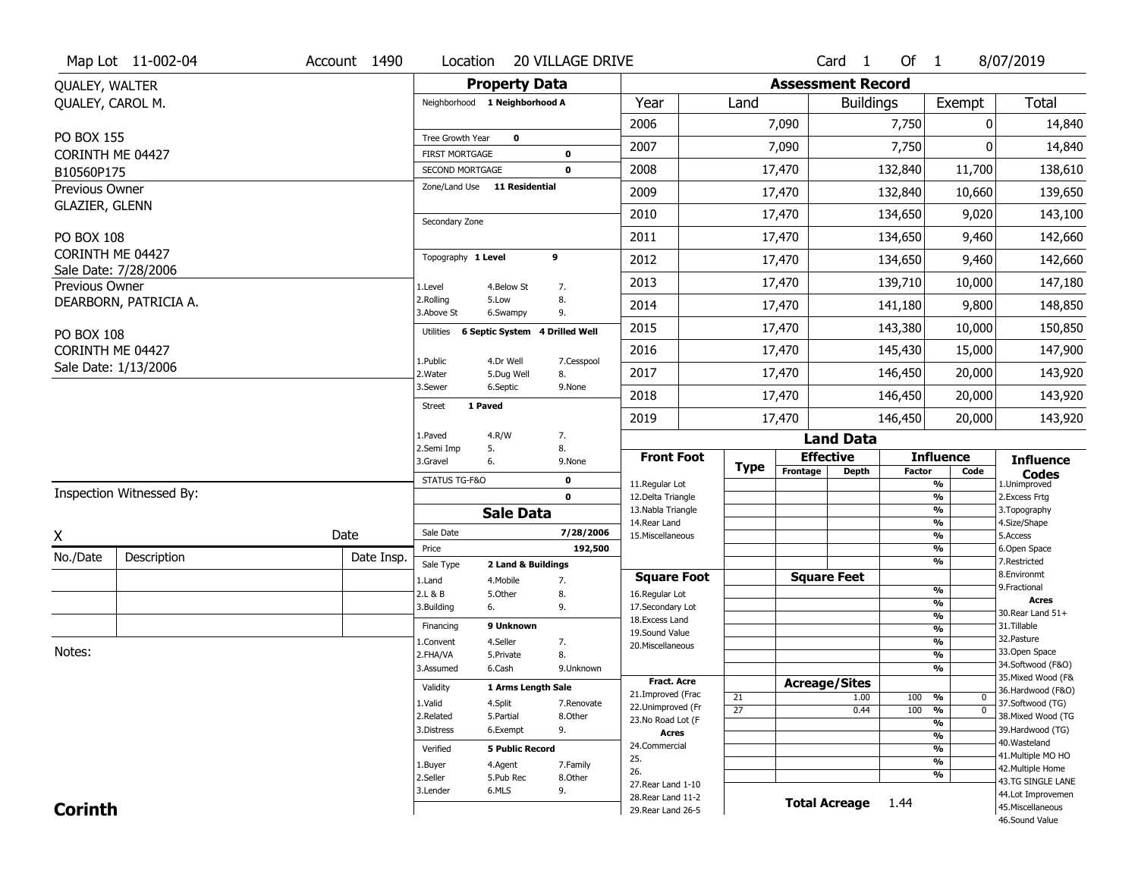|                                          | Map Lot 11-002-04        | Account 1490             | Location                                 |                                 | <b>20 VILLAGE DRIVE</b> |                                          |                       |                      | Card <sub>1</sub>             | Of $1$                              |                                    | 8/07/2019                              |  |  |  |  |
|------------------------------------------|--------------------------|--------------------------|------------------------------------------|---------------------------------|-------------------------|------------------------------------------|-----------------------|----------------------|-------------------------------|-------------------------------------|------------------------------------|----------------------------------------|--|--|--|--|
| QUALEY, WALTER                           |                          |                          |                                          | <b>Property Data</b>            |                         | <b>Assessment Record</b>                 |                       |                      |                               |                                     |                                    |                                        |  |  |  |  |
| QUALEY, CAROL M.                         |                          |                          | Neighborhood 1 Neighborhood A            |                                 |                         | Year                                     | Land                  |                      | <b>Buildings</b>              |                                     | Exempt                             | Total                                  |  |  |  |  |
|                                          |                          |                          |                                          |                                 |                         | 2006                                     |                       | 7,090                |                               | 7,750                               | 0                                  | 14,840                                 |  |  |  |  |
| PO BOX 155                               |                          |                          | Tree Growth Year                         | $\mathbf 0$                     |                         | 2007                                     |                       | 7,090                |                               | 7,750                               |                                    | 14,840                                 |  |  |  |  |
| CORINTH ME 04427<br>B10560P175           |                          |                          | <b>FIRST MORTGAGE</b><br>SECOND MORTGAGE |                                 | 0<br>$\mathbf 0$        | 2008                                     |                       | 17,470               |                               | 132,840                             | 11,700                             | 138,610                                |  |  |  |  |
| Previous Owner                           |                          |                          | Zone/Land Use 11 Residential             |                                 |                         |                                          |                       |                      |                               |                                     |                                    |                                        |  |  |  |  |
| <b>GLAZIER, GLENN</b>                    |                          |                          |                                          |                                 |                         | 2009                                     |                       | 17,470               |                               | 132,840                             | 10,660                             | 139,650                                |  |  |  |  |
|                                          |                          |                          | Secondary Zone                           |                                 |                         | 2010                                     |                       | 17,470               |                               | 134,650                             | 9,020                              | 143,100                                |  |  |  |  |
| PO BOX 108                               |                          |                          |                                          |                                 |                         | 2011                                     |                       | 17,470               |                               | 134,650                             | 9,460                              | 142,660                                |  |  |  |  |
| CORINTH ME 04427<br>Sale Date: 7/28/2006 |                          |                          | Topography 1 Level                       |                                 | 9                       | 2012                                     |                       | 17,470               |                               | 134,650                             | 9,460                              | 142,660                                |  |  |  |  |
| Previous Owner                           |                          |                          | 1.Level                                  | 4.Below St                      | 7.                      | 2013                                     |                       | 17,470               |                               | 139,710                             | 10,000                             | 147,180                                |  |  |  |  |
|                                          | DEARBORN, PATRICIA A.    |                          | 2.Rolling<br>3.Above St                  | 5.Low<br>6.Swampy               | 8.<br>9.                | 2014                                     |                       | 17,470               | 141,180                       |                                     | 9,800                              | 148,850                                |  |  |  |  |
| PO BOX 108                               |                          |                          | Utilities                                | 6 Septic System 4 Drilled Well  |                         | 2015                                     |                       | 17,470               |                               | 143,380                             | 10,000                             | 150,850                                |  |  |  |  |
| CORINTH ME 04427                         |                          |                          |                                          | 4.Dr Well                       |                         | 2016                                     |                       | 17,470               |                               | 145,430                             | 15,000                             | 147,900                                |  |  |  |  |
| Sale Date: 1/13/2006                     |                          |                          | 1.Public<br>2. Water                     | 5.Dug Well                      | 7.Cesspool<br>8.        | 2017                                     |                       | 17,470               | 146,450                       |                                     | 20,000                             | 143,920                                |  |  |  |  |
|                                          |                          | 3.Sewer                  | 6.Septic                                 | 9.None                          | 2018                    |                                          | 17,470                | 146,450              |                               | 20,000                              | 143,920                            |                                        |  |  |  |  |
|                                          |                          | 1 Paved<br><b>Street</b> |                                          |                                 | 2019                    |                                          | 17,470                |                      | 146,450                       | 20,000                              | 143,920                            |                                        |  |  |  |  |
|                                          |                          | 1.Paved                  | 4.R/W                                    | 7.                              |                         |                                          |                       | <b>Land Data</b>     |                               |                                     |                                    |                                        |  |  |  |  |
|                                          |                          |                          | 2.Semi Imp<br>3.Gravel                   | 5.<br>6.                        | 8.<br>9.None            | <b>Front Foot</b>                        |                       | <b>Effective</b>     |                               |                                     | <b>Influence</b>                   | <b>Influence</b>                       |  |  |  |  |
|                                          |                          |                          | STATUS TG-F&O                            |                                 | $\mathbf 0$             | 11.Regular Lot                           | <b>Type</b>           | Frontage             | <b>Depth</b><br><b>Factor</b> |                                     | Code<br>$\overline{\frac{9}{6}}$   | <b>Codes</b><br>1.Unimproved           |  |  |  |  |
|                                          | Inspection Witnessed By: |                          |                                          | $\mathbf 0$                     |                         | 12.Delta Triangle                        |                       |                      |                               |                                     | $\frac{9}{6}$                      | 2.Excess Frtg                          |  |  |  |  |
|                                          |                          |                          |                                          | <b>Sale Data</b>                |                         | 13. Nabla Triangle<br>14. Rear Land      |                       |                      |                               |                                     | $\overline{\frac{9}{6}}$<br>%      | 3. Topography<br>4.Size/Shape          |  |  |  |  |
| X                                        |                          | Date                     | Sale Date                                |                                 | 7/28/2006               | 15. Miscellaneous                        |                       |                      |                               |                                     | $\overline{\frac{9}{6}}$           | 5.Access                               |  |  |  |  |
| No./Date                                 | Description              | Date Insp.               | Price                                    |                                 | 192,500                 |                                          |                       |                      |                               |                                     | %<br>%                             | 6.Open Space<br>7.Restricted           |  |  |  |  |
|                                          |                          |                          | Sale Type<br>1.Land                      | 2 Land & Buildings<br>4. Mobile | 7.                      | <b>Square Foot</b>                       |                       | <b>Square Feet</b>   |                               |                                     |                                    | 8.Environmt                            |  |  |  |  |
|                                          |                          |                          | 2.L & B                                  | 5.Other                         | 8.                      | 16.Regular Lot                           |                       |                      |                               |                                     | $\frac{9}{6}$                      | 9. Fractional                          |  |  |  |  |
|                                          |                          |                          | 3.Building                               | 6.                              | 9.                      | 17.Secondary Lot                         |                       |                      |                               |                                     | %<br>$\frac{9}{6}$                 | <b>Acres</b><br>30. Rear Land 51+      |  |  |  |  |
|                                          |                          |                          | Financing                                | 9 Unknown                       |                         | 18.Excess Land<br>19.Sound Value         |                       |                      |                               |                                     | %                                  | 31.Tillable                            |  |  |  |  |
|                                          |                          |                          | 1.Convent                                | 4.Seller                        | 7.                      | 20.Miscellaneous                         |                       |                      |                               |                                     | $\frac{9}{6}$                      | 32. Pasture                            |  |  |  |  |
| Notes:                                   |                          | 2.FHA/VA                 | 5.Private                                | 8.                              |                         |                                          |                       |                      |                               | %                                   | 33.Open Space<br>34.Softwood (F&O) |                                        |  |  |  |  |
|                                          |                          |                          | 3.Assumed                                | 6.Cash                          | 9.Unknown               | <b>Fract. Acre</b>                       |                       |                      |                               |                                     | %                                  | 35. Mixed Wood (F&                     |  |  |  |  |
|                                          |                          |                          | Validity                                 | 1 Arms Length Sale              |                         | 21.Improved (Frac                        |                       | <b>Acreage/Sites</b> |                               |                                     |                                    | 36.Hardwood (F&O)                      |  |  |  |  |
|                                          |                          |                          | 1.Valid                                  | 4.Split                         | 7.Renovate              | 22.Unimproved (Fr                        | 21<br>$\overline{27}$ |                      | 1.00<br>0.44                  | 100<br>100                          | %<br>0<br>$\overline{0}$<br>%      | 37.Softwood (TG)                       |  |  |  |  |
|                                          |                          |                          | 2.Related                                | 5.Partial                       | 8.Other                 | 23.No Road Lot (F                        |                       |                      |                               |                                     | $\overline{\frac{9}{6}}$           | 38. Mixed Wood (TG                     |  |  |  |  |
|                                          |                          | 3.Distress               | 9.<br>6.Exempt                           |                                 | <b>Acres</b>            |                                          |                       |                      |                               | $\frac{9}{6}$                       | 39.Hardwood (TG)                   |                                        |  |  |  |  |
|                                          | Verified                 | <b>5 Public Record</b>   |                                          | 24.Commercial                   |                         |                                          |                       |                      | $\frac{9}{6}$                 | 40. Wasteland<br>41. Multiple MO HO |                                    |                                        |  |  |  |  |
|                                          |                          | 1.Buyer<br>4.Agent       |                                          | 7.Family                        | 25.                     |                                          |                       |                      |                               | $\overline{\frac{9}{6}}$            | 42. Multiple Home                  |                                        |  |  |  |  |
|                                          |                          |                          |                                          |                                 |                         |                                          |                       |                      |                               |                                     |                                    |                                        |  |  |  |  |
|                                          |                          |                          | 2.Seller                                 | 5.Pub Rec                       | 8.Other                 | 26.                                      |                       |                      |                               |                                     | %                                  | 43.TG SINGLE LANE                      |  |  |  |  |
| <b>Corinth</b>                           |                          |                          | 3.Lender                                 | 6.MLS                           | 9.                      | 27. Rear Land 1-10<br>28. Rear Land 11-2 |                       |                      | <b>Total Acreage</b>          | 1.44                                |                                    | 44.Lot Improvemen<br>45. Miscellaneous |  |  |  |  |